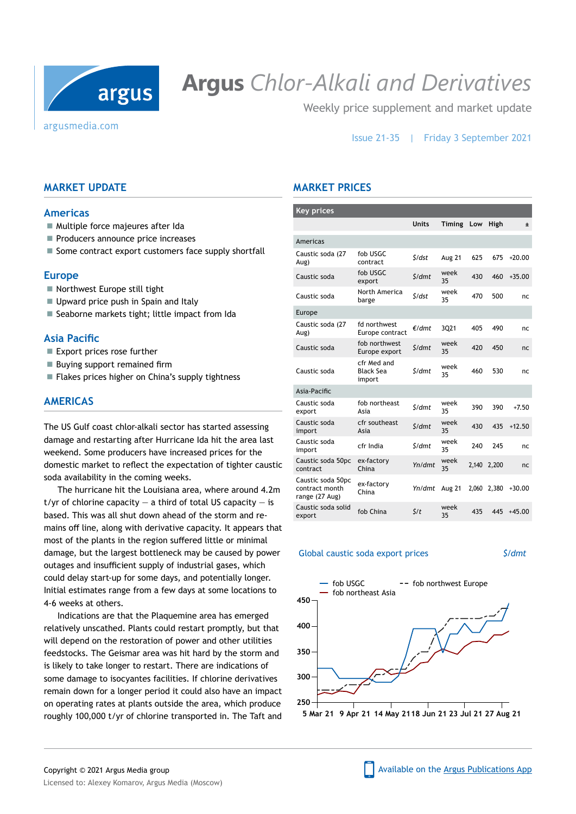

# **Argus** *Chlor-Alkali and Derivatives*

Weekly price supplement and market update

## Issue 21-35 | Friday 3 September 2021

# **Market update**

#### **Americas**

- Multiple force majeures after Ida
- Producers announce price increases
- $\blacksquare$  Some contract export customers face supply shortfall

#### **Europe**

- Northwest Europe still tight
- Upward price push in Spain and Italy
- Seaborne markets tight; little impact from Ida

#### **Asia Pacific**

- Export prices rose further
- Buying support remained firm
- Flakes prices higher on China's supply tightness

# **Americas**

The US Gulf coast chlor-alkali sector has started assessing damage and restarting after Hurricane Ida hit the area last weekend. Some producers have increased prices for the domestic market to reflect the expectation of tighter caustic soda availability in the coming weeks.

The hurricane hit the Louisiana area, where around 4.2m t/yr of chlorine capacity  $-$  a third of total US capacity  $-$  is based. This was all shut down ahead of the storm and remains off line, along with derivative capacity. It appears that most of the plants in the region suffered little or minimal damage, but the largest bottleneck may be caused by power outages and insufficient supply of industrial gases, which could delay start-up for some days, and potentially longer. Initial estimates range from a few days at some locations to 4-6 weeks at others.

Indications are that the Plaquemine area has emerged relatively unscathed. Plants could restart promptly, but that will depend on the restoration of power and other utilities feedstocks. The Geismar area was hit hard by the storm and is likely to take longer to restart. There are indications of some damage to isocyantes facilities. If chlorine derivatives remain down for a longer period it could also have an impact on operating rates at plants outside the area, which produce roughly 100,000 t/yr of chlorine transported in. The Taft and

# **Market Prices**

| <b>Key prices</b>                                     |                                           |                     |               |       |       |          |
|-------------------------------------------------------|-------------------------------------------|---------------------|---------------|-------|-------|----------|
|                                                       |                                           | <b>Units</b>        | <b>Timing</b> | Low   | High  | Ŧ        |
| Americas                                              |                                           |                     |               |       |       |          |
| Caustic soda (27<br>Aug)                              | fob USGC<br>contract                      | $\zeta$ /dst        | Aug 21        | 625   | 675   | $+20.00$ |
| Caustic soda                                          | fob USGC<br>export                        | S/dmt               | week<br>35    | 430   | 460   | $+35.00$ |
| Caustic soda                                          | North America<br>barge                    | $\zeta$ /dst        | week<br>35    | 470   | 500   | nc.      |
| Europe                                                |                                           |                     |               |       |       |          |
| Caustic soda (27<br>Aug)                              | fd northwest<br>Europe contract           | €/dmt               | 3Q21          | 405   | 490   | nc.      |
| Caustic soda                                          | fob northwest<br>Europe export            | $\frac{\zeta}{dmt}$ | week<br>35    | 420   | 450   | nc       |
| Caustic soda                                          | cfr Med and<br><b>Black Sea</b><br>import | S/dmt               | week<br>35    | 460   | 530   | nc       |
| Asia-Pacific                                          |                                           |                     |               |       |       |          |
| Caustic soda<br>export                                | fob northeast<br>Asia                     | \$/dmt              | week<br>35    | 390   | 390   | $+7.50$  |
| Caustic soda<br>import                                | cfr southeast<br>Asia                     | \$/dmt              | week<br>35    | 430   | 435   | $+12.50$ |
| Caustic soda<br>import                                | cfr India                                 | S/dmt               | week<br>35    | 240   | 245   | nc       |
| Caustic soda 50pc<br>contract                         | ex-factory<br>China                       | Yn/dmt              | week<br>35    | 2,140 | 2,200 | nc       |
| Caustic soda 50pc<br>contract month<br>range (27 Aug) | ex-factory<br>China                       | Yn/dmt              | Aug 21        | 2.060 | 2,380 | $+30.00$ |
| Caustic soda solid<br>export                          | fob China                                 | $\zeta/t$           | week<br>35    | 435   | 445   | $+45.00$ |

#### Global caustic soda export prices *\$/dmt*

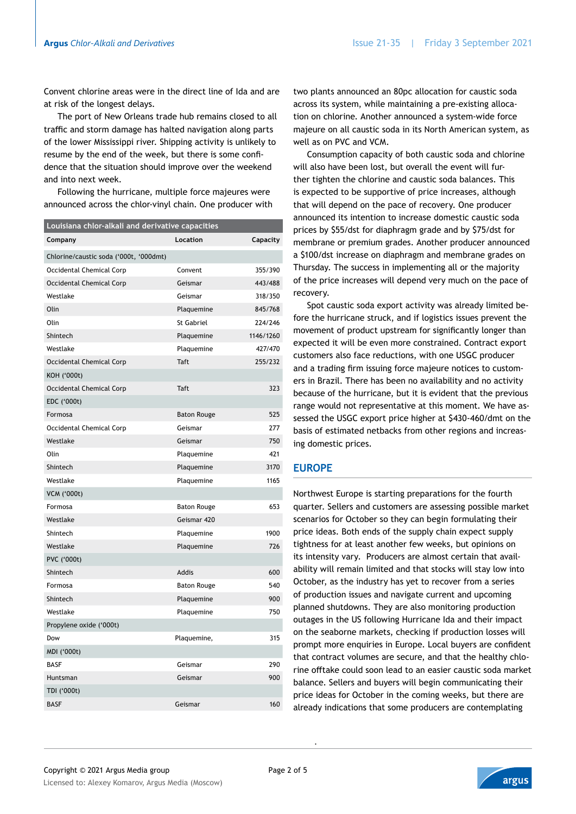Convent chlorine areas were in the direct line of Ida and are at risk of the longest delays.

The port of New Orleans trade hub remains closed to all traffic and storm damage has halted navigation along parts of the lower Mississippi river. Shipping activity is unlikely to resume by the end of the week, but there is some confidence that the situation should improve over the weekend and into next week.

Following the hurricane, multiple force majeures were announced across the chlor-vinyl chain. One producer with

| Louisiana chlor-alkali and derivative capacities |                    |           |  |  |  |  |  |
|--------------------------------------------------|--------------------|-----------|--|--|--|--|--|
| Company                                          | Location           | Capacity  |  |  |  |  |  |
| Chlorine/caustic soda ('000t, '000dmt)           |                    |           |  |  |  |  |  |
| Occidental Chemical Corp                         | Convent            | 355/390   |  |  |  |  |  |
| Occidental Chemical Corp                         | Geismar            | 443/488   |  |  |  |  |  |
| Westlake                                         | Geismar            | 318/350   |  |  |  |  |  |
| Olin                                             | Plaquemine         | 845/768   |  |  |  |  |  |
| Olin                                             | St Gabriel         | 224/246   |  |  |  |  |  |
| Shintech                                         | Plaquemine         | 1146/1260 |  |  |  |  |  |
| Westlake                                         | Plaquemine         | 427/470   |  |  |  |  |  |
| Occidental Chemical Corp                         | <b>Taft</b>        | 255/232   |  |  |  |  |  |
| KOH ('000t)                                      |                    |           |  |  |  |  |  |
| Occidental Chemical Corp                         | Taft               | 323       |  |  |  |  |  |
| EDC ('000t)                                      |                    |           |  |  |  |  |  |
| Formosa                                          | <b>Baton Rouge</b> | 525       |  |  |  |  |  |
| Occidental Chemical Corp                         | Geismar            | 277       |  |  |  |  |  |
| Westlake                                         | Geismar            | 750       |  |  |  |  |  |
| Olin                                             | Plaquemine         | 421       |  |  |  |  |  |
| Shintech                                         | Plaquemine         | 3170      |  |  |  |  |  |
| Westlake                                         | Plaquemine         | 1165      |  |  |  |  |  |
| <b>VCM ('000t)</b>                               |                    |           |  |  |  |  |  |
| Formosa                                          | <b>Baton Rouge</b> | 653       |  |  |  |  |  |
| Westlake                                         | Geismar 420        |           |  |  |  |  |  |
| Shintech                                         | Plaquemine         | 1900      |  |  |  |  |  |
| Westlake                                         | Plaquemine         | 726       |  |  |  |  |  |
| PVC ('000t)                                      |                    |           |  |  |  |  |  |
| Shintech                                         | Addis              | 600       |  |  |  |  |  |
| Formosa                                          | <b>Baton Rouge</b> | 540       |  |  |  |  |  |
| Shintech                                         | Plaquemine         | 900       |  |  |  |  |  |
| Westlake                                         | Plaquemine         | 750       |  |  |  |  |  |
| Propylene oxide ('000t)                          |                    |           |  |  |  |  |  |
| Dow                                              | Plaquemine,        | 315       |  |  |  |  |  |
| MDI ('000t)                                      |                    |           |  |  |  |  |  |
| <b>BASF</b>                                      | Geismar            | 290       |  |  |  |  |  |
| Huntsman                                         | Geismar            | 900       |  |  |  |  |  |
| TDI ('000t)                                      |                    |           |  |  |  |  |  |
| <b>BASF</b>                                      | Geismar            | 160       |  |  |  |  |  |

two plants announced an 80pc allocation for caustic soda across its system, while maintaining a pre-existing allocation on chlorine. Another announced a system-wide force majeure on all caustic soda in its North American system, as well as on PVC and VCM.

Consumption capacity of both caustic soda and chlorine will also have been lost, but overall the event will further tighten the chlorine and caustic soda balances. This is expected to be supportive of price increases, although that will depend on the pace of recovery. One producer announced its intention to increase domestic caustic soda prices by \$55/dst for diaphragm grade and by \$75/dst for membrane or premium grades. Another producer announced a \$100/dst increase on diaphragm and membrane grades on Thursday. The success in implementing all or the majority of the price increases will depend very much on the pace of recovery.

Spot caustic soda export activity was already limited before the hurricane struck, and if logistics issues prevent the movement of product upstream for significantly longer than expected it will be even more constrained. Contract export customers also face reductions, with one USGC producer and a trading firm issuing force majeure notices to customers in Brazil. There has been no availability and no activity because of the hurricane, but it is evident that the previous range would not representative at this moment. We have assessed the USGC export price higher at \$430-460/dmt on the basis of estimated netbacks from other regions and increasing domestic prices.

## **Europe**

Northwest Europe is starting preparations for the fourth quarter. Sellers and customers are assessing possible market scenarios for October so they can begin formulating their price ideas. Both ends of the supply chain expect supply tightness for at least another few weeks, but opinions on its intensity vary. Producers are almost certain that availability will remain limited and that stocks will stay low into October, as the industry has yet to recover from a series of production issues and navigate current and upcoming planned shutdowns. They are also monitoring production outages in the US following Hurricane Ida and their impact on the seaborne markets, checking if production losses will prompt more enquiries in Europe. Local buyers are confident that contract volumes are secure, and that the healthy chlorine offtake could soon lead to an easier caustic soda market balance. Sellers and buyers will begin communicating their price ideas for October in the coming weeks, but there are already indications that some producers are contemplating

.

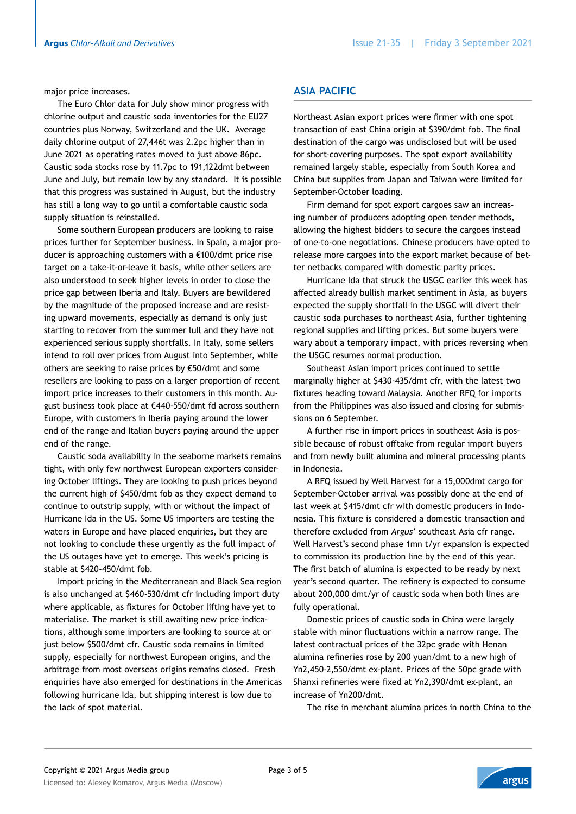major price increases.

The Euro Chlor data for July show minor progress with chlorine output and caustic soda inventories for the EU27 countries plus Norway, Switzerland and the UK. Average daily chlorine output of 27,446t was 2.2pc higher than in June 2021 as operating rates moved to just above 86pc. Caustic soda stocks rose by 11.7pc to 191,122dmt between June and July, but remain low by any standard. It is possible that this progress was sustained in August, but the industry has still a long way to go until a comfortable caustic soda supply situation is reinstalled.

Some southern European producers are looking to raise prices further for September business. In Spain, a major producer is approaching customers with a €100/dmt price rise target on a take-it-or-leave it basis, while other sellers are also understood to seek higher levels in order to close the price gap between Iberia and Italy. Buyers are bewildered by the magnitude of the proposed increase and are resisting upward movements, especially as demand is only just starting to recover from the summer lull and they have not experienced serious supply shortfalls. In Italy, some sellers intend to roll over prices from August into September, while others are seeking to raise prices by €50/dmt and some resellers are looking to pass on a larger proportion of recent import price increases to their customers in this month. August business took place at €440-550/dmt fd across southern Europe, with customers in Iberia paying around the lower end of the range and Italian buyers paying around the upper end of the range.

Caustic soda availability in the seaborne markets remains tight, with only few northwest European exporters considering October liftings. They are looking to push prices beyond the current high of \$450/dmt fob as they expect demand to continue to outstrip supply, with or without the impact of Hurricane Ida in the US. Some US importers are testing the waters in Europe and have placed enquiries, but they are not looking to conclude these urgently as the full impact of the US outages have yet to emerge. This week's pricing is stable at \$420-450/dmt fob.

Import pricing in the Mediterranean and Black Sea region is also unchanged at \$460-530/dmt cfr including import duty where applicable, as fixtures for October lifting have yet to materialise. The market is still awaiting new price indications, although some importers are looking to source at or just below \$500/dmt cfr. Caustic soda remains in limited supply, especially for northwest European origins, and the arbitrage from most overseas origins remains closed. Fresh enquiries have also emerged for destinations in the Americas following hurricane Ida, but shipping interest is low due to the lack of spot material.

# **Asia Pacific**

Northeast Asian export prices were firmer with one spot transaction of east China origin at \$390/dmt fob. The final destination of the cargo was undisclosed but will be used for short-covering purposes. The spot export availability remained largely stable, especially from South Korea and China but supplies from Japan and Taiwan were limited for September-October loading.

Firm demand for spot export cargoes saw an increasing number of producers adopting open tender methods, allowing the highest bidders to secure the cargoes instead of one-to-one negotiations. Chinese producers have opted to release more cargoes into the export market because of better netbacks compared with domestic parity prices.

Hurricane Ida that struck the USGC earlier this week has affected already bullish market sentiment in Asia, as buyers expected the supply shortfall in the USGC will divert their caustic soda purchases to northeast Asia, further tightening regional supplies and lifting prices. But some buyers were wary about a temporary impact, with prices reversing when the USGC resumes normal production.

Southeast Asian import prices continued to settle marginally higher at \$430-435/dmt cfr, with the latest two fixtures heading toward Malaysia. Another RFQ for imports from the Philippines was also issued and closing for submissions on 6 September.

A further rise in import prices in southeast Asia is possible because of robust offtake from regular import buyers and from newly built alumina and mineral processing plants in Indonesia.

A RFQ issued by Well Harvest for a 15,000dmt cargo for September-October arrival was possibly done at the end of last week at \$415/dmt cfr with domestic producers in Indonesia. This fixture is considered a domestic transaction and therefore excluded from *Argus*' southeast Asia cfr range. Well Harvest's second phase 1mn t/yr expansion is expected to commission its production line by the end of this year. The first batch of alumina is expected to be ready by next year's second quarter. The refinery is expected to consume about 200,000 dmt/yr of caustic soda when both lines are fully operational.

Domestic prices of caustic soda in China were largely stable with minor fluctuations within a narrow range. The latest contractual prices of the 32pc grade with Henan alumina refineries rose by 200 yuan/dmt to a new high of Yn2,450-2,550/dmt ex-plant. Prices of the 50pc grade with Shanxi refineries were fixed at Yn2,390/dmt ex-plant, an increase of Yn200/dmt.

The rise in merchant alumina prices in north China to the



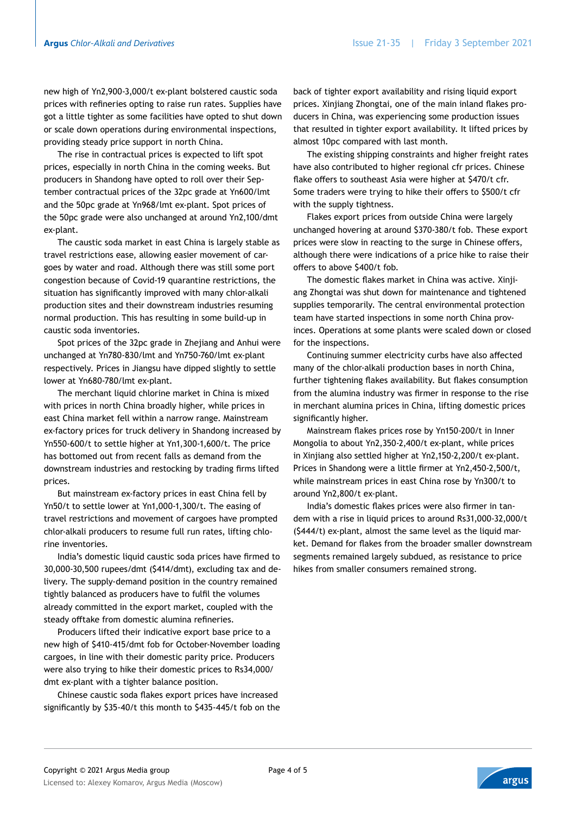new high of Yn2,900-3,000/t ex-plant bolstered caustic soda prices with refineries opting to raise run rates. Supplies have got a little tighter as some facilities have opted to shut down or scale down operations during environmental inspections, providing steady price support in north China.

The rise in contractual prices is expected to lift spot prices, especially in north China in the coming weeks. But producers in Shandong have opted to roll over their September contractual prices of the 32pc grade at Yn600/lmt and the 50pc grade at Yn968/lmt ex-plant. Spot prices of the 50pc grade were also unchanged at around Yn2,100/dmt ex-plant.

The caustic soda market in east China is largely stable as travel restrictions ease, allowing easier movement of cargoes by water and road. Although there was still some port congestion because of Covid-19 quarantine restrictions, the situation has significantly improved with many chlor-alkali production sites and their downstream industries resuming normal production. This has resulting in some build-up in caustic soda inventories.

Spot prices of the 32pc grade in Zhejiang and Anhui were unchanged at Yn780-830/lmt and Yn750-760/lmt ex-plant respectively. Prices in Jiangsu have dipped slightly to settle lower at Yn680-780/lmt ex-plant.

The merchant liquid chlorine market in China is mixed with prices in north China broadly higher, while prices in east China market fell within a narrow range. Mainstream ex-factory prices for truck delivery in Shandong increased by Yn550-600/t to settle higher at Yn1,300-1,600/t. The price has bottomed out from recent falls as demand from the downstream industries and restocking by trading firms lifted prices.

But mainstream ex-factory prices in east China fell by Yn50/t to settle lower at Yn1,000-1,300/t. The easing of travel restrictions and movement of cargoes have prompted chlor-alkali producers to resume full run rates, lifting chlorine inventories.

India's domestic liquid caustic soda prices have firmed to 30,000-30,500 rupees/dmt (\$414/dmt), excluding tax and delivery. The supply-demand position in the country remained tightly balanced as producers have to fulfil the volumes already committed in the export market, coupled with the steady offtake from domestic alumina refineries.

Producers lifted their indicative export base price to a new high of \$410-415/dmt fob for October-November loading cargoes, in line with their domestic parity price. Producers were also trying to hike their domestic prices to Rs34,000/ dmt ex-plant with a tighter balance position.

Chinese caustic soda flakes export prices have increased significantly by \$35-40/t this month to \$435-445/t fob on the

back of tighter export availability and rising liquid export prices. Xinjiang Zhongtai, one of the main inland flakes producers in China, was experiencing some production issues that resulted in tighter export availability. It lifted prices by almost 10pc compared with last month.

The existing shipping constraints and higher freight rates have also contributed to higher regional cfr prices. Chinese flake offers to southeast Asia were higher at \$470/t cfr. Some traders were trying to hike their offers to \$500/t cfr with the supply tightness.

Flakes export prices from outside China were largely unchanged hovering at around \$370-380/t fob. These export prices were slow in reacting to the surge in Chinese offers, although there were indications of a price hike to raise their offers to above \$400/t fob.

The domestic flakes market in China was active. Xinjiang Zhongtai was shut down for maintenance and tightened supplies temporarily. The central environmental protection team have started inspections in some north China provinces. Operations at some plants were scaled down or closed for the inspections.

Continuing summer electricity curbs have also affected many of the chlor-alkali production bases in north China, further tightening flakes availability. But flakes consumption from the alumina industry was firmer in response to the rise in merchant alumina prices in China, lifting domestic prices significantly higher.

Mainstream flakes prices rose by Yn150-200/t in Inner Mongolia to about Yn2,350-2,400/t ex-plant, while prices in Xinjiang also settled higher at Yn2,150-2,200/t ex-plant. Prices in Shandong were a little firmer at Yn2,450-2,500/t, while mainstream prices in east China rose by Yn300/t to around Yn2,800/t ex-plant.

India's domestic flakes prices were also firmer in tandem with a rise in liquid prices to around Rs31,000-32,000/t (\$444/t) ex-plant, almost the same level as the liquid market. Demand for flakes from the broader smaller downstream segments remained largely subdued, as resistance to price hikes from smaller consumers remained strong.